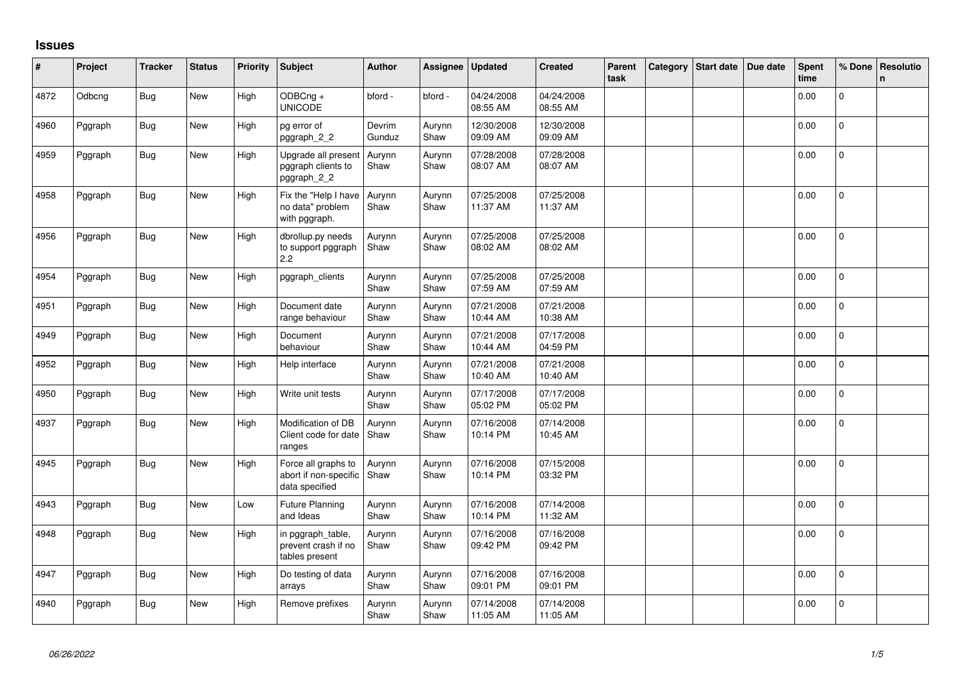## **Issues**

| #    | Project | <b>Tracker</b> | <b>Status</b> | <b>Priority</b> | <b>Subject</b>                                                 | <b>Author</b>    | Assignee       | <b>Updated</b>         | <b>Created</b>         | Parent<br>task | Category Start date | Due date | Spent<br>time | % Done       | Resolutio<br>n |
|------|---------|----------------|---------------|-----------------|----------------------------------------------------------------|------------------|----------------|------------------------|------------------------|----------------|---------------------|----------|---------------|--------------|----------------|
| 4872 | Odbcng  | <b>Bug</b>     | New           | High            | ODBCng +<br><b>UNICODE</b>                                     | bford -          | bford -        | 04/24/2008<br>08:55 AM | 04/24/2008<br>08:55 AM |                |                     |          | 0.00          | $\Omega$     |                |
| 4960 | Pggraph | <b>Bug</b>     | New           | High            | pg error of<br>pggraph_2_2                                     | Devrim<br>Gunduz | Aurynn<br>Shaw | 12/30/2008<br>09:09 AM | 12/30/2008<br>09:09 AM |                |                     |          | 0.00          | $\Omega$     |                |
| 4959 | Pggraph | <b>Bug</b>     | New           | High            | Upgrade all present<br>pggraph clients to<br>pggraph_2_2       | Aurynn<br>Shaw   | Aurynn<br>Shaw | 07/28/2008<br>08:07 AM | 07/28/2008<br>08:07 AM |                |                     |          | 0.00          | $\mathbf 0$  |                |
| 4958 | Pggraph | <b>Bug</b>     | New           | High            | Fix the "Help I have<br>no data" problem<br>with pggraph.      | Aurynn<br>Shaw   | Aurynn<br>Shaw | 07/25/2008<br>11:37 AM | 07/25/2008<br>11:37 AM |                |                     |          | 0.00          | $\mathbf{0}$ |                |
| 4956 | Pggraph | <b>Bug</b>     | New           | High            | dbrollup.py needs<br>to support pggraph<br>2.2                 | Aurynn<br>Shaw   | Aurynn<br>Shaw | 07/25/2008<br>08:02 AM | 07/25/2008<br>08:02 AM |                |                     |          | 0.00          | $\mathbf 0$  |                |
| 4954 | Pggraph | <b>Bug</b>     | New           | High            | pggraph_clients                                                | Aurynn<br>Shaw   | Aurynn<br>Shaw | 07/25/2008<br>07:59 AM | 07/25/2008<br>07:59 AM |                |                     |          | 0.00          | $\Omega$     |                |
| 4951 | Pggraph | <b>Bug</b>     | New           | High            | Document date<br>range behaviour                               | Aurynn<br>Shaw   | Aurynn<br>Shaw | 07/21/2008<br>10:44 AM | 07/21/2008<br>10:38 AM |                |                     |          | 0.00          | $\Omega$     |                |
| 4949 | Pggraph | <b>Bug</b>     | New           | High            | Document<br>behaviour                                          | Aurynn<br>Shaw   | Aurynn<br>Shaw | 07/21/2008<br>10:44 AM | 07/17/2008<br>04:59 PM |                |                     |          | 0.00          | $\mathbf{0}$ |                |
| 4952 | Pggraph | <b>Bug</b>     | New           | High            | Help interface                                                 | Aurynn<br>Shaw   | Aurynn<br>Shaw | 07/21/2008<br>10:40 AM | 07/21/2008<br>10:40 AM |                |                     |          | 0.00          | $\mathbf 0$  |                |
| 4950 | Pggraph | Bug            | New           | High            | Write unit tests                                               | Aurynn<br>Shaw   | Aurynn<br>Shaw | 07/17/2008<br>05:02 PM | 07/17/2008<br>05:02 PM |                |                     |          | 0.00          | $\mathbf 0$  |                |
| 4937 | Pggraph | <b>Bug</b>     | New           | High            | Modification of DB<br>Client code for date<br>ranges           | Aurynn<br>Shaw   | Aurynn<br>Shaw | 07/16/2008<br>10:14 PM | 07/14/2008<br>10:45 AM |                |                     |          | 0.00          | $\mathbf{0}$ |                |
| 4945 | Pggraph | <b>Bug</b>     | New           | High            | Force all graphs to<br>abort if non-specific<br>data specified | Aurynn<br>Shaw   | Aurynn<br>Shaw | 07/16/2008<br>10:14 PM | 07/15/2008<br>03:32 PM |                |                     |          | 0.00          | $\mathbf{0}$ |                |
| 4943 | Pggraph | <b>Bug</b>     | New           | Low             | <b>Future Planning</b><br>and Ideas                            | Aurynn<br>Shaw   | Aurynn<br>Shaw | 07/16/2008<br>10:14 PM | 07/14/2008<br>11:32 AM |                |                     |          | 0.00          | $\Omega$     |                |
| 4948 | Pggraph | <b>Bug</b>     | New           | High            | in pggraph_table,<br>prevent crash if no<br>tables present     | Aurynn<br>Shaw   | Aurynn<br>Shaw | 07/16/2008<br>09:42 PM | 07/16/2008<br>09:42 PM |                |                     |          | 0.00          | $\mathbf{0}$ |                |
| 4947 | Pggraph | <b>Bug</b>     | New           | High            | Do testing of data<br>arrays                                   | Aurynn<br>Shaw   | Aurynn<br>Shaw | 07/16/2008<br>09:01 PM | 07/16/2008<br>09:01 PM |                |                     |          | 0.00          | $\mathbf{0}$ |                |
| 4940 | Pggraph | <b>Bug</b>     | New           | High            | Remove prefixes                                                | Aurynn<br>Shaw   | Aurynn<br>Shaw | 07/14/2008<br>11:05 AM | 07/14/2008<br>11:05 AM |                |                     |          | 0.00          | 0            |                |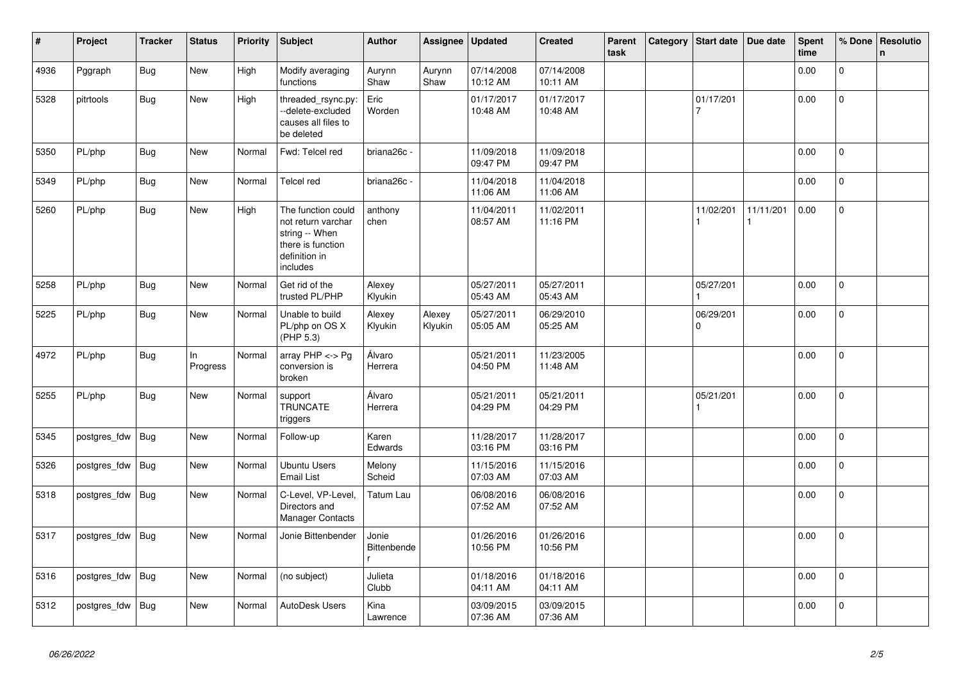| #    | Project      | <b>Tracker</b> | <b>Status</b>  | <b>Priority</b> | <b>Subject</b>                                                                                               | <b>Author</b>        | Assignee          | <b>Updated</b>         | <b>Created</b>         | Parent<br>task | Category | Start date            | Due date  | <b>Spent</b><br>time | % Done       | Resolutio<br>$\mathsf{n}$ |
|------|--------------|----------------|----------------|-----------------|--------------------------------------------------------------------------------------------------------------|----------------------|-------------------|------------------------|------------------------|----------------|----------|-----------------------|-----------|----------------------|--------------|---------------------------|
| 4936 | Pggraph      | <b>Bug</b>     | <b>New</b>     | High            | Modify averaging<br>functions                                                                                | Aurynn<br>Shaw       | Aurynn<br>Shaw    | 07/14/2008<br>10:12 AM | 07/14/2008<br>10:11 AM |                |          |                       |           | 0.00                 | $\mathbf 0$  |                           |
| 5328 | pitrtools    | <b>Bug</b>     | New            | High            | threaded rsync.py:<br>--delete-excluded<br>causes all files to<br>be deleted                                 | Eric<br>Worden       |                   | 01/17/2017<br>10:48 AM | 01/17/2017<br>10:48 AM |                |          | 01/17/201<br>7        |           | 0.00                 | $\mathbf 0$  |                           |
| 5350 | PL/php       | <b>Bug</b>     | New            | Normal          | Fwd: Telcel red                                                                                              | briana26c -          |                   | 11/09/2018<br>09:47 PM | 11/09/2018<br>09:47 PM |                |          |                       |           | 0.00                 | $\Omega$     |                           |
| 5349 | PL/php       | <b>Bug</b>     | <b>New</b>     | Normal          | <b>Telcel red</b>                                                                                            | briana26c -          |                   | 11/04/2018<br>11:06 AM | 11/04/2018<br>11:06 AM |                |          |                       |           | 0.00                 | $\mathbf 0$  |                           |
| 5260 | PL/php       | Bug            | <b>New</b>     | High            | The function could<br>not return varchar<br>string -- When<br>there is function<br>definition in<br>includes | anthony<br>chen      |                   | 11/04/2011<br>08:57 AM | 11/02/2011<br>11:16 PM |                |          | 11/02/201             | 11/11/201 | 0.00                 | $\mathbf 0$  |                           |
| 5258 | PL/php       | <b>Bug</b>     | New            | Normal          | Get rid of the<br>trusted PL/PHP                                                                             | Alexey<br>Klyukin    |                   | 05/27/2011<br>05:43 AM | 05/27/2011<br>05:43 AM |                |          | 05/27/201             |           | 0.00                 | $\mathbf 0$  |                           |
| 5225 | PL/php       | Bug            | <b>New</b>     | Normal          | Unable to build<br>PL/php on OS X<br>(PHP 5.3)                                                               | Alexey<br>Klyukin    | Alexey<br>Klyukin | 05/27/2011<br>05:05 AM | 06/29/2010<br>05:25 AM |                |          | 06/29/201<br>$\Omega$ |           | 0.00                 | $\pmb{0}$    |                           |
| 4972 | PL/php       | <b>Bug</b>     | In<br>Progress | Normal          | array $PHP \lt\gt Pg$<br>conversion is<br>broken                                                             | Álvaro<br>Herrera    |                   | 05/21/2011<br>04:50 PM | 11/23/2005<br>11:48 AM |                |          |                       |           | 0.00                 | $\mathbf 0$  |                           |
| 5255 | PL/php       | <b>Bug</b>     | New            | Normal          | support<br><b>TRUNCATE</b><br>triggers                                                                       | Álvaro<br>Herrera    |                   | 05/21/2011<br>04:29 PM | 05/21/2011<br>04:29 PM |                |          | 05/21/201             |           | 0.00                 | $\mathbf 0$  |                           |
| 5345 | postgres_fdw | Bug            | New            | Normal          | Follow-up                                                                                                    | Karen<br>Edwards     |                   | 11/28/2017<br>03:16 PM | 11/28/2017<br>03:16 PM |                |          |                       |           | 0.00                 | $\mathbf{0}$ |                           |
| 5326 | postgres_fdw | Bug            | <b>New</b>     | Normal          | <b>Ubuntu Users</b><br><b>Email List</b>                                                                     | Melony<br>Scheid     |                   | 11/15/2016<br>07:03 AM | 11/15/2016<br>07:03 AM |                |          |                       |           | 0.00                 | $\mathbf 0$  |                           |
| 5318 | postgres_fdw | Bug            | <b>New</b>     | Normal          | C-Level, VP-Level,<br>Directors and<br><b>Manager Contacts</b>                                               | Tatum Lau            |                   | 06/08/2016<br>07:52 AM | 06/08/2016<br>07:52 AM |                |          |                       |           | 0.00                 | $\mathbf 0$  |                           |
| 5317 | postgres_fdw | <b>Bug</b>     | New            | Normal          | Jonie Bittenbender                                                                                           | Jonie<br>Bittenbende |                   | 01/26/2016<br>10:56 PM | 01/26/2016<br>10:56 PM |                |          |                       |           | 0.00                 | $\mathbf{0}$ |                           |
| 5316 | postgres_fdw | Bug            | <b>New</b>     | Normal          | (no subject)                                                                                                 | Julieta<br>Clubb     |                   | 01/18/2016<br>04:11 AM | 01/18/2016<br>04:11 AM |                |          |                       |           | 0.00                 | $\Omega$     |                           |
| 5312 | postgres fdw | Bug            | <b>New</b>     | Normal          | <b>AutoDesk Users</b>                                                                                        | Kina<br>Lawrence     |                   | 03/09/2015<br>07:36 AM | 03/09/2015<br>07:36 AM |                |          |                       |           | 0.00                 | $\mathbf{0}$ |                           |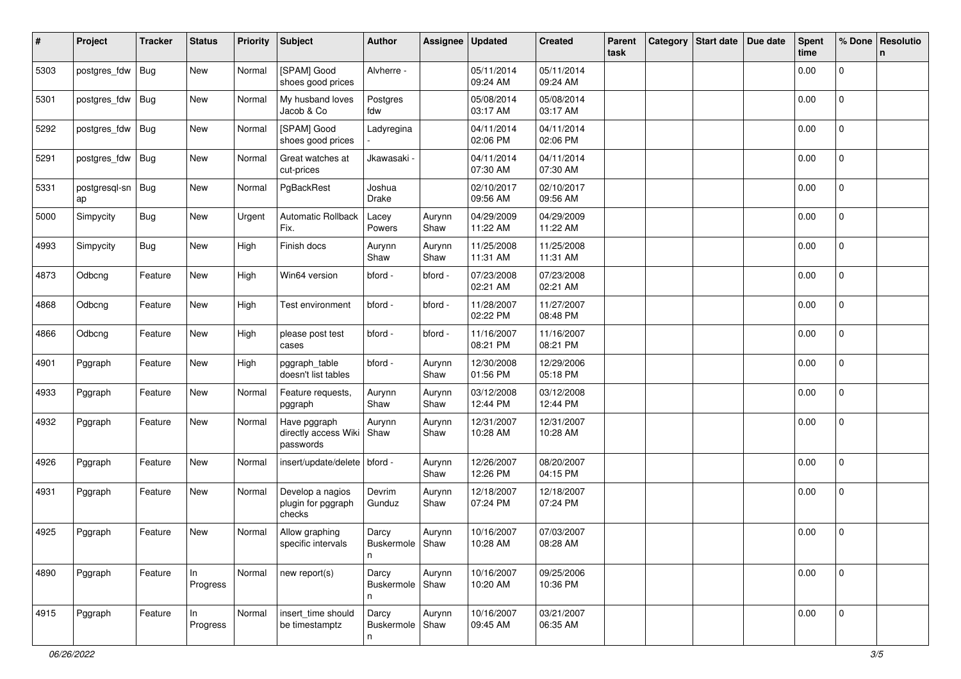| #    | Project                   | <b>Tracker</b> | <b>Status</b>  | <b>Priority</b> | <b>Subject</b>                                    | <b>Author</b>                   | Assignee       | <b>Updated</b>         | <b>Created</b>         | Parent<br>task | Category | <b>Start date</b> | Due date | <b>Spent</b><br>time | % Done         | <b>Resolutio</b><br>$\mathbf n$ |
|------|---------------------------|----------------|----------------|-----------------|---------------------------------------------------|---------------------------------|----------------|------------------------|------------------------|----------------|----------|-------------------|----------|----------------------|----------------|---------------------------------|
| 5303 | postgres_fdw              | <b>Bug</b>     | New            | Normal          | [SPAM] Good<br>shoes good prices                  | Alvherre -                      |                | 05/11/2014<br>09:24 AM | 05/11/2014<br>09:24 AM |                |          |                   |          | 0.00                 | 0              |                                 |
| 5301 | postgres_fdw              | Bug            | New            | Normal          | My husband loves<br>Jacob & Co                    | Postgres<br>fdw                 |                | 05/08/2014<br>03:17 AM | 05/08/2014<br>03:17 AM |                |          |                   |          | 0.00                 | $\overline{0}$ |                                 |
| 5292 | postgres_fdw              | Bug            | New            | Normal          | [SPAM] Good<br>shoes good prices                  | Ladyregina                      |                | 04/11/2014<br>02:06 PM | 04/11/2014<br>02:06 PM |                |          |                   |          | 0.00                 | 0              |                                 |
| 5291 | postgres_fdw              | Bug            | New            | Normal          | Great watches at<br>cut-prices                    | Jkawasaki -                     |                | 04/11/2014<br>07:30 AM | 04/11/2014<br>07:30 AM |                |          |                   |          | 0.00                 | 0              |                                 |
| 5331 | postgresql-sn   Bug<br>ap |                | New            | Normal          | PgBackRest                                        | Joshua<br>Drake                 |                | 02/10/2017<br>09:56 AM | 02/10/2017<br>09:56 AM |                |          |                   |          | 0.00                 | $\mathbf 0$    |                                 |
| 5000 | Simpycity                 | <b>Bug</b>     | New            | Urgent          | Automatic Rollback<br>Fix.                        | Lacey<br>Powers                 | Aurynn<br>Shaw | 04/29/2009<br>11:22 AM | 04/29/2009<br>11:22 AM |                |          |                   |          | 0.00                 | $\overline{0}$ |                                 |
| 4993 | Simpycity                 | <b>Bug</b>     | New            | High            | Finish docs                                       | Aurynn<br>Shaw                  | Aurynn<br>Shaw | 11/25/2008<br>11:31 AM | 11/25/2008<br>11:31 AM |                |          |                   |          | 0.00                 | $\mathbf 0$    |                                 |
| 4873 | Odbcng                    | Feature        | New            | High            | Win64 version                                     | bford -                         | bford -        | 07/23/2008<br>02:21 AM | 07/23/2008<br>02:21 AM |                |          |                   |          | 0.00                 | $\mathbf 0$    |                                 |
| 4868 | Odbcng                    | Feature        | New            | High            | Test environment                                  | bford -                         | bford -        | 11/28/2007<br>02:22 PM | 11/27/2007<br>08:48 PM |                |          |                   |          | 0.00                 | $\mathbf 0$    |                                 |
| 4866 | Odbcng                    | Feature        | New            | High            | please post test<br>cases                         | bford -                         | bford -        | 11/16/2007<br>08:21 PM | 11/16/2007<br>08:21 PM |                |          |                   |          | 0.00                 | 0              |                                 |
| 4901 | Pggraph                   | Feature        | New            | High            | pggraph_table<br>doesn't list tables              | bford -                         | Aurynn<br>Shaw | 12/30/2008<br>01:56 PM | 12/29/2006<br>05:18 PM |                |          |                   |          | 0.00                 | 0              |                                 |
| 4933 | Pggraph                   | Feature        | New            | Normal          | Feature requests,<br>pggraph                      | Aurynn<br>Shaw                  | Aurynn<br>Shaw | 03/12/2008<br>12:44 PM | 03/12/2008<br>12:44 PM |                |          |                   |          | 0.00                 | $\mathbf 0$    |                                 |
| 4932 | Pggraph                   | Feature        | New            | Normal          | Have pggraph<br>directly access Wiki<br>passwords | Aurynn<br>Shaw                  | Aurynn<br>Shaw | 12/31/2007<br>10:28 AM | 12/31/2007<br>10:28 AM |                |          |                   |          | 0.00                 | 0              |                                 |
| 4926 | Pggraph                   | Feature        | New            | Normal          | insert/update/delete   bford -                    |                                 | Aurynn<br>Shaw | 12/26/2007<br>12:26 PM | 08/20/2007<br>04:15 PM |                |          |                   |          | 0.00                 | 0              |                                 |
| 4931 | Pggraph                   | Feature        | New            | Normal          | Develop a nagios<br>plugin for pggraph<br>checks  | Devrim<br>Gunduz                | Aurynn<br>Shaw | 12/18/2007<br>07:24 PM | 12/18/2007<br>07:24 PM |                |          |                   |          | 0.00                 | 0              |                                 |
| 4925 | Pggraph                   | Feature        | New            | Normal          | Allow graphing<br>specific intervals              | Darcy<br>Buskermole   Shaw<br>n | Aurynn         | 10/16/2007<br>10:28 AM | 07/03/2007<br>08:28 AM |                |          |                   |          | 0.00                 | 0              |                                 |
| 4890 | Pggraph                   | Feature        | In<br>Progress | Normal          | new report(s)                                     | Darcy<br>Buskermole Shaw<br>n   | Aurynn         | 10/16/2007<br>10:20 AM | 09/25/2006<br>10:36 PM |                |          |                   |          | 0.00                 | $\mathbf 0$    |                                 |
| 4915 | Pggraph                   | Feature        | In<br>Progress | Normal          | insert time should<br>be timestamptz              | Darcy<br>Buskermole   Shaw<br>n | Aurynn         | 10/16/2007<br>09:45 AM | 03/21/2007<br>06:35 AM |                |          |                   |          | 0.00                 | $\mathbf 0$    |                                 |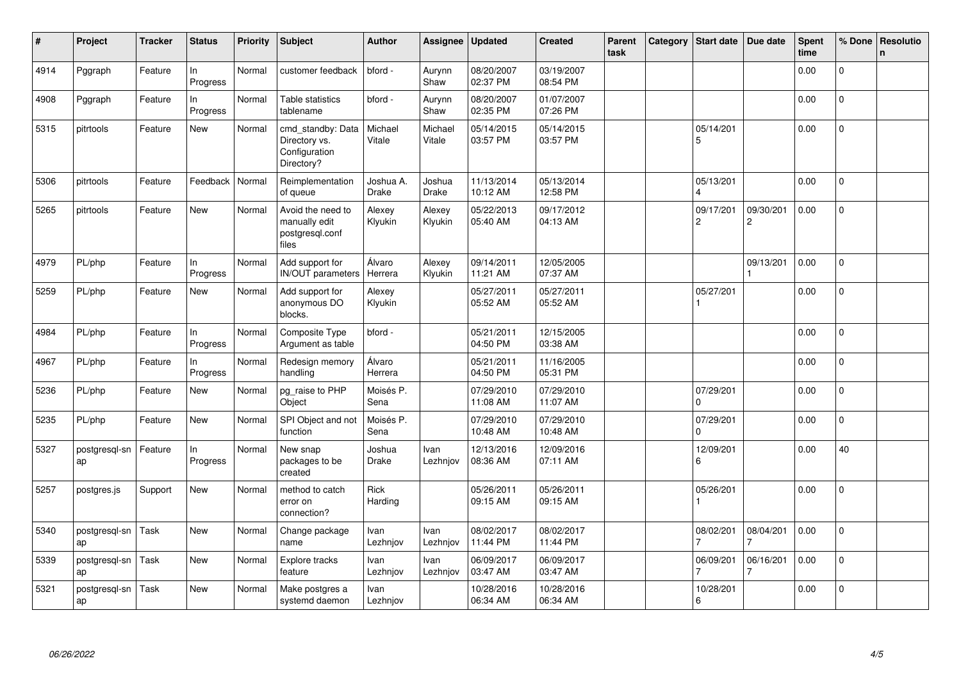| $\vert$ # | Project             | <b>Tracker</b> | <b>Status</b>   | <b>Priority</b> | <b>Subject</b>                                                    | <b>Author</b>             | Assignee                | <b>Updated</b>         | <b>Created</b>         | <b>Parent</b><br>task | Category | <b>Start date</b>           | Due date                    | <b>Spent</b><br>time | % Done         | Resolutio<br>$\mathsf{n}$ |
|-----------|---------------------|----------------|-----------------|-----------------|-------------------------------------------------------------------|---------------------------|-------------------------|------------------------|------------------------|-----------------------|----------|-----------------------------|-----------------------------|----------------------|----------------|---------------------------|
| 4914      | Pggraph             | Feature        | ln.<br>Progress | Normal          | customer feedback                                                 | bford -                   | Aurynn<br>Shaw          | 08/20/2007<br>02:37 PM | 03/19/2007<br>08:54 PM |                       |          |                             |                             | 0.00                 | $\Omega$       |                           |
| 4908      | Pggraph             | Feature        | In<br>Progress  | Normal          | Table statistics<br>tablename                                     | bford -                   | Aurynn<br>Shaw          | 08/20/2007<br>02:35 PM | 01/07/2007<br>07:26 PM |                       |          |                             |                             | 0.00                 | $\Omega$       |                           |
| 5315      | pitrtools           | Feature        | New             | Normal          | cmd standby: Data<br>Directory vs.<br>Configuration<br>Directory? | Michael<br>Vitale         | Michael<br>Vitale       | 05/14/2015<br>03:57 PM | 05/14/2015<br>03:57 PM |                       |          | 05/14/201<br>5              |                             | 0.00                 | 0              |                           |
| 5306      | pitrtools           | Feature        | Feedback        | Normal          | Reimplementation<br>of queue                                      | Joshua A.<br><b>Drake</b> | Joshua<br><b>Drake</b>  | 11/13/2014<br>10:12 AM | 05/13/2014<br>12:58 PM |                       |          | 05/13/201<br>$\Delta$       |                             | 0.00                 | 0              |                           |
| 5265      | pitrtools           | Feature        | <b>New</b>      | Normal          | Avoid the need to<br>manually edit<br>postgresql.conf<br>files    | Alexey<br>Klyukin         | Alexey<br>Klyukin       | 05/22/2013<br>05:40 AM | 09/17/2012<br>04:13 AM |                       |          | 09/17/201<br>$\overline{c}$ | 09/30/201<br>$\overline{c}$ | 0.00                 | $\overline{0}$ |                           |
| 4979      | PL/php              | Feature        | In<br>Progress  | Normal          | Add support for<br>IN/OUT parameters                              | Álvaro<br>Herrera         | Alexey<br>Klyukin       | 09/14/2011<br>11:21 AM | 12/05/2005<br>07:37 AM |                       |          |                             | 09/13/201                   | 0.00                 | $\mathbf 0$    |                           |
| 5259      | PL/php              | Feature        | New             | Normal          | Add support for<br>anonymous DO<br>blocks.                        | Alexey<br>Klyukin         |                         | 05/27/2011<br>05:52 AM | 05/27/2011<br>05:52 AM |                       |          | 05/27/201                   |                             | 0.00                 | $\overline{0}$ |                           |
| 4984      | PL/php              | Feature        | In<br>Progress  | Normal          | Composite Type<br>Argument as table                               | bford -                   |                         | 05/21/2011<br>04:50 PM | 12/15/2005<br>03:38 AM |                       |          |                             |                             | 0.00                 | 0              |                           |
| 4967      | PL/php              | Feature        | In<br>Progress  | Normal          | Redesign memory<br>handling                                       | Álvaro<br>Herrera         |                         | 05/21/2011<br>04:50 PM | 11/16/2005<br>05:31 PM |                       |          |                             |                             | 0.00                 | $\overline{0}$ |                           |
| 5236      | PL/php              | Feature        | New             | Normal          | pg_raise to PHP<br>Object                                         | Moisés P.<br>Sena         |                         | 07/29/2010<br>11:08 AM | 07/29/2010<br>11:07 AM |                       |          | 07/29/201<br>$\Omega$       |                             | 0.00                 | 0              |                           |
| 5235      | PL/php              | Feature        | <b>New</b>      | Normal          | SPI Object and not<br>function                                    | Moisés P.<br>Sena         |                         | 07/29/2010<br>10:48 AM | 07/29/2010<br>10:48 AM |                       |          | 07/29/201<br>$\Omega$       |                             | 0.00                 | $\Omega$       |                           |
| 5327      | postgresql-sn<br>ap | Feature        | ln<br>Progress  | Normal          | New snap<br>packages to be<br>created                             | Joshua<br>Drake           | <b>Ivan</b><br>Lezhnjov | 12/13/2016<br>08:36 AM | 12/09/2016<br>07:11 AM |                       |          | 12/09/201<br>6              |                             | 0.00                 | 40             |                           |
| 5257      | postgres.js         | Support        | New             | Normal          | method to catch<br>error on<br>connection?                        | Rick<br>Harding           |                         | 05/26/2011<br>09:15 AM | 05/26/2011<br>09:15 AM |                       |          | 05/26/201                   |                             | 0.00                 | $\overline{0}$ |                           |
| 5340      | postgresgl-sn<br>ap | Task           | <b>New</b>      | Normal          | Change package<br>name                                            | Ivan<br>Lezhnjov          | Ivan<br>Lezhnjov        | 08/02/2017<br>11:44 PM | 08/02/2017<br>11:44 PM |                       |          | 08/02/201<br>$\overline{7}$ | 08/04/201<br>7              | 0.00                 | $\mathbf 0$    |                           |
| 5339      | postgresgl-sn<br>ap | Task           | <b>New</b>      | Normal          | Explore tracks<br>feature                                         | Ivan<br>Lezhnjov          | Ivan<br>Lezhnjov        | 06/09/2017<br>03:47 AM | 06/09/2017<br>03:47 AM |                       |          | 06/09/201                   | 06/16/201                   | 0.00                 | $\overline{0}$ |                           |
| 5321      | postgresql-sn<br>ap | Task           | <b>New</b>      | Normal          | Make postgres a<br>systemd daemon                                 | Ivan<br>Lezhnjov          |                         | 10/28/2016<br>06:34 AM | 10/28/2016<br>06:34 AM |                       |          | 10/28/201<br>6              |                             | 0.00                 | $\overline{0}$ |                           |